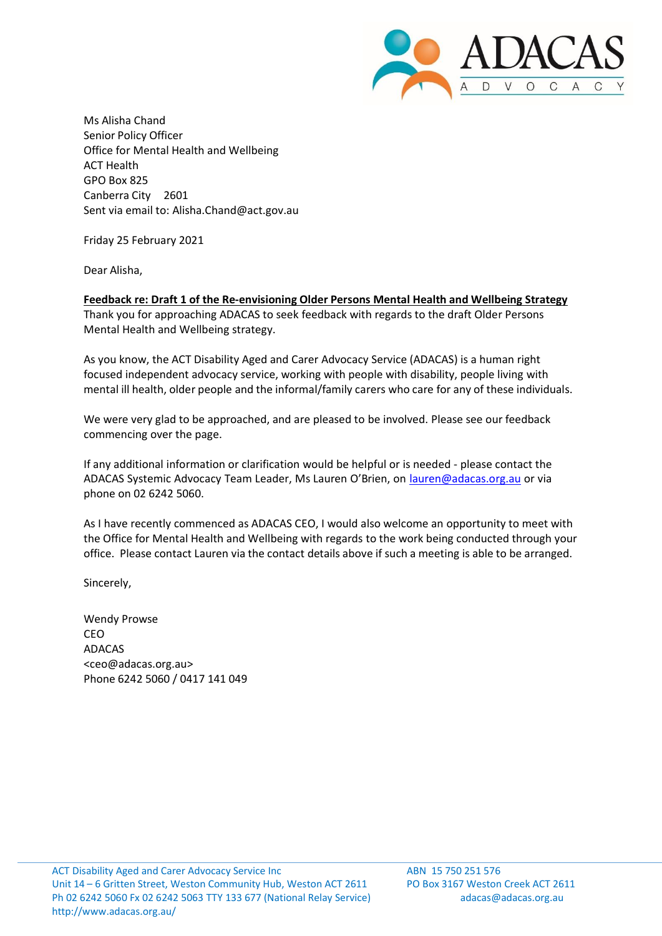

Ms Alisha Chand Senior Policy Officer Office for Mental Health and Wellbeing ACT Health GPO Box 825 Canberra City 2601 Sent via email to: [Alisha.Chand@act.gov.au](mailto:Alisha.Chand@act.gov.au)

Friday 25 February 2021

Dear Alisha,

**Feedback re: Draft 1 of the Re-envisioning Older Persons Mental Health and Wellbeing Strategy** Thank you for approaching ADACAS to seek feedback with regards to the draft Older Persons Mental Health and Wellbeing strategy.

As you know, the ACT Disability Aged and Carer Advocacy Service (ADACAS) is a human right focused independent advocacy service, working with people with disability, people living with mental ill health, older people and the informal/family carers who care for any of these individuals.

We were very glad to be approached, and are pleased to be involved. Please see our feedback commencing over the page.

If any additional information or clarification would be helpful or is needed - please contact the ADACAS Systemic Advocacy Team Leader, Ms Lauren O'Brien, on [lauren@adacas.org.au](mailto:lauren@adacas.org.au) or via phone on 02 6242 5060.

As I have recently commenced as ADACAS CEO, I would also welcome an opportunity to meet with the Office for Mental Health and Wellbeing with regards to the work being conducted through your office. Please contact Lauren via the contact details above if such a meeting is able to be arranged.

Sincerely,

Wendy Prowse CEO ADACAS [<ceo@adacas.org.au>](mailto:ceo@adacas.org.au) Phone 6242 5060 / 0417 141 049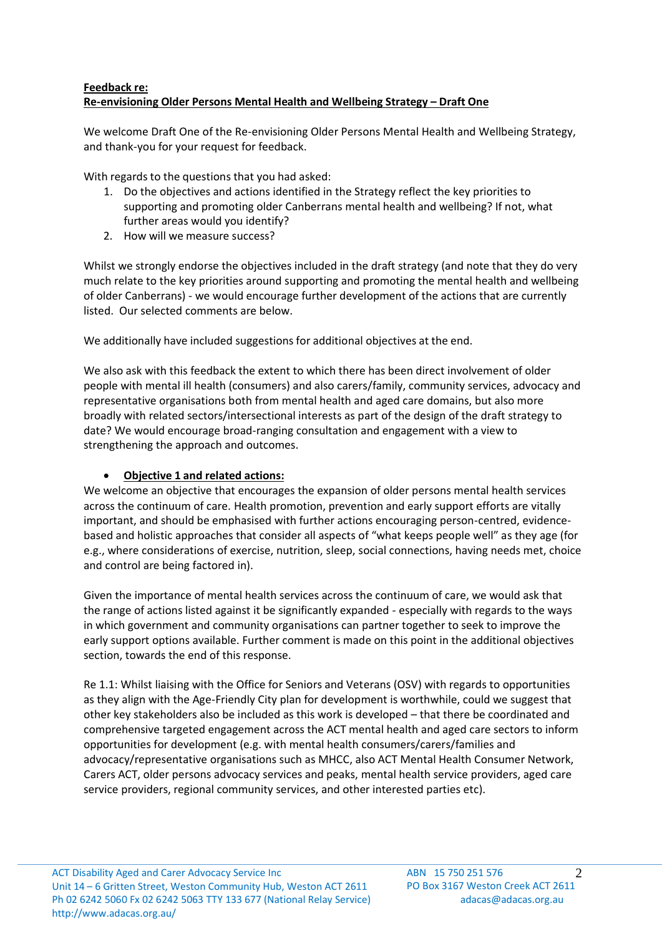#### **Feedback re: Re-envisioning Older Persons Mental Health and Wellbeing Strategy – Draft One**

We welcome Draft One of the Re-envisioning Older Persons Mental Health and Wellbeing Strategy, and thank-you for your request for feedback.

With regards to the questions that you had asked:

- 1. Do the objectives and actions identified in the Strategy reflect the key priorities to supporting and promoting older Canberrans mental health and wellbeing? If not, what further areas would you identify?
- 2. How will we measure success?

Whilst we strongly endorse the objectives included in the draft strategy (and note that they do very much relate to the key priorities around supporting and promoting the mental health and wellbeing of older Canberrans) - we would encourage further development of the actions that are currently listed. Our selected comments are below.

We additionally have included suggestions for additional objectives at the end.

We also ask with this feedback the extent to which there has been direct involvement of older people with mental ill health (consumers) and also carers/family, community services, advocacy and representative organisations both from mental health and aged care domains, but also more broadly with related sectors/intersectional interests as part of the design of the draft strategy to date? We would encourage broad-ranging consultation and engagement with a view to strengthening the approach and outcomes.

# • **Objective 1 and related actions:**

We welcome an objective that encourages the expansion of older persons mental health services across the continuum of care. Health promotion, prevention and early support efforts are vitally important, and should be emphasised with further actions encouraging person-centred, evidencebased and holistic approaches that consider all aspects of "what keeps people well" as they age (for e.g., where considerations of exercise, nutrition, sleep, social connections, having needs met, choice and control are being factored in).

Given the importance of mental health services across the continuum of care, we would ask that the range of actions listed against it be significantly expanded - especially with regards to the ways in which government and community organisations can partner together to seek to improve the early support options available. Further comment is made on this point in the additional objectives section, towards the end of this response.

Re 1.1: Whilst liaising with the Office for Seniors and Veterans (OSV) with regards to opportunities as they align with the Age-Friendly City plan for development is worthwhile, could we suggest that other key stakeholders also be included as this work is developed – that there be coordinated and comprehensive targeted engagement across the ACT mental health and aged care sectors to inform opportunities for development (e.g. with mental health consumers/carers/families and advocacy/representative organisations such as MHCC, also ACT Mental Health Consumer Network, Carers ACT, older persons advocacy services and peaks, mental health service providers, aged care service providers, regional community services, and other interested parties etc).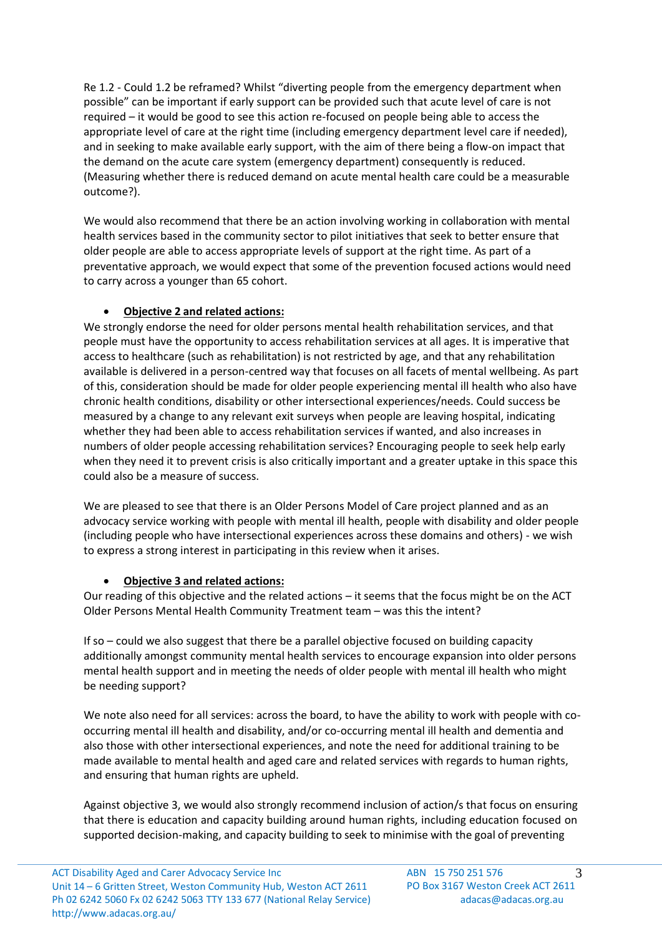Re 1.2 - Could 1.2 be reframed? Whilst "diverting people from the emergency department when possible" can be important if early support can be provided such that acute level of care is not required – it would be good to see this action re-focused on people being able to access the appropriate level of care at the right time (including emergency department level care if needed), and in seeking to make available early support, with the aim of there being a flow-on impact that the demand on the acute care system (emergency department) consequently is reduced. (Measuring whether there is reduced demand on acute mental health care could be a measurable outcome?).

We would also recommend that there be an action involving working in collaboration with mental health services based in the community sector to pilot initiatives that seek to better ensure that older people are able to access appropriate levels of support at the right time. As part of a preventative approach, we would expect that some of the prevention focused actions would need to carry across a younger than 65 cohort.

# • **Objective 2 and related actions:**

We strongly endorse the need for older persons mental health rehabilitation services, and that people must have the opportunity to access rehabilitation services at all ages. It is imperative that access to healthcare (such as rehabilitation) is not restricted by age, and that any rehabilitation available is delivered in a person-centred way that focuses on all facets of mental wellbeing. As part of this, consideration should be made for older people experiencing mental ill health who also have chronic health conditions, disability or other intersectional experiences/needs. Could success be measured by a change to any relevant exit surveys when people are leaving hospital, indicating whether they had been able to access rehabilitation services if wanted, and also increases in numbers of older people accessing rehabilitation services? Encouraging people to seek help early when they need it to prevent crisis is also critically important and a greater uptake in this space this could also be a measure of success.

We are pleased to see that there is an Older Persons Model of Care project planned and as an advocacy service working with people with mental ill health, people with disability and older people (including people who have intersectional experiences across these domains and others) - we wish to express a strong interest in participating in this review when it arises.

# • **Objective 3 and related actions:**

Our reading of this objective and the related actions – it seems that the focus might be on the ACT Older Persons Mental Health Community Treatment team – was this the intent?

If so – could we also suggest that there be a parallel objective focused on building capacity additionally amongst community mental health services to encourage expansion into older persons mental health support and in meeting the needs of older people with mental ill health who might be needing support?

We note also need for all services: across the board, to have the ability to work with people with cooccurring mental ill health and disability, and/or co-occurring mental ill health and dementia and also those with other intersectional experiences, and note the need for additional training to be made available to mental health and aged care and related services with regards to human rights, and ensuring that human rights are upheld.

Against objective 3, we would also strongly recommend inclusion of action/s that focus on ensuring that there is education and capacity building around human rights, including education focused on supported decision-making, and capacity building to seek to minimise with the goal of preventing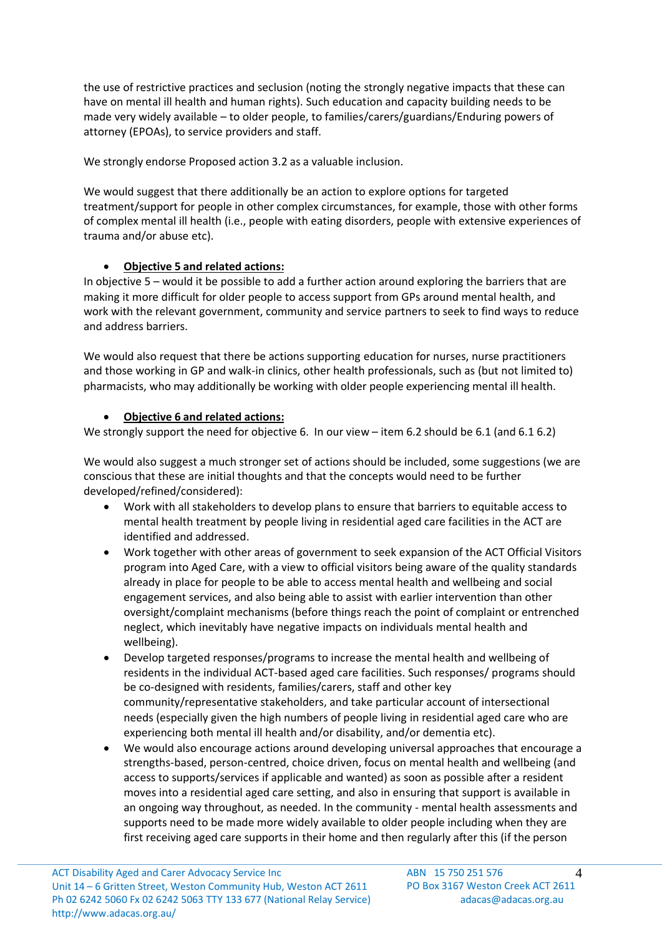the use of restrictive practices and seclusion (noting the strongly negative impacts that these can have on mental ill health and human rights). Such education and capacity building needs to be made very widely available – to older people, to families/carers/guardians/Enduring powers of attorney (EPOAs), to service providers and staff.

We strongly endorse Proposed action 3.2 as a valuable inclusion.

We would suggest that there additionally be an action to explore options for targeted treatment/support for people in other complex circumstances, for example, those with other forms of complex mental ill health (i.e., people with eating disorders, people with extensive experiences of trauma and/or abuse etc).

# • **Objective 5 and related actions:**

In objective 5 – would it be possible to add a further action around exploring the barriers that are making it more difficult for older people to access support from GPs around mental health, and work with the relevant government, community and service partners to seek to find ways to reduce and address barriers.

We would also request that there be actions supporting education for nurses, nurse practitioners and those working in GP and walk-in clinics, other health professionals, such as (but not limited to) pharmacists, who may additionally be working with older people experiencing mental ill health.

# • **Objective 6 and related actions:**

We strongly support the need for objective 6. In our view – item 6.2 should be 6.1 (and 6.1 6.2)

We would also suggest a much stronger set of actions should be included, some suggestions (we are conscious that these are initial thoughts and that the concepts would need to be further developed/refined/considered):

- Work with all stakeholders to develop plans to ensure that barriers to equitable access to mental health treatment by people living in residential aged care facilities in the ACT are identified and addressed.
- Work together with other areas of government to seek expansion of the ACT Official Visitors program into Aged Care, with a view to official visitors being aware of the quality standards already in place for people to be able to access mental health and wellbeing and social engagement services, and also being able to assist with earlier intervention than other oversight/complaint mechanisms (before things reach the point of complaint or entrenched neglect, which inevitably have negative impacts on individuals mental health and wellbeing).
- Develop targeted responses/programs to increase the mental health and wellbeing of residents in the individual ACT-based aged care facilities. Such responses/ programs should be co-designed with residents, families/carers, staff and other key community/representative stakeholders, and take particular account of intersectional needs (especially given the high numbers of people living in residential aged care who are experiencing both mental ill health and/or disability, and/or dementia etc).
- We would also encourage actions around developing universal approaches that encourage a strengths-based, person-centred, choice driven, focus on mental health and wellbeing (and access to supports/services if applicable and wanted) as soon as possible after a resident moves into a residential aged care setting, and also in ensuring that support is available in an ongoing way throughout, as needed. In the community - mental health assessments and supports need to be made more widely available to older people including when they are first receiving aged care supports in their home and then regularly after this (if the person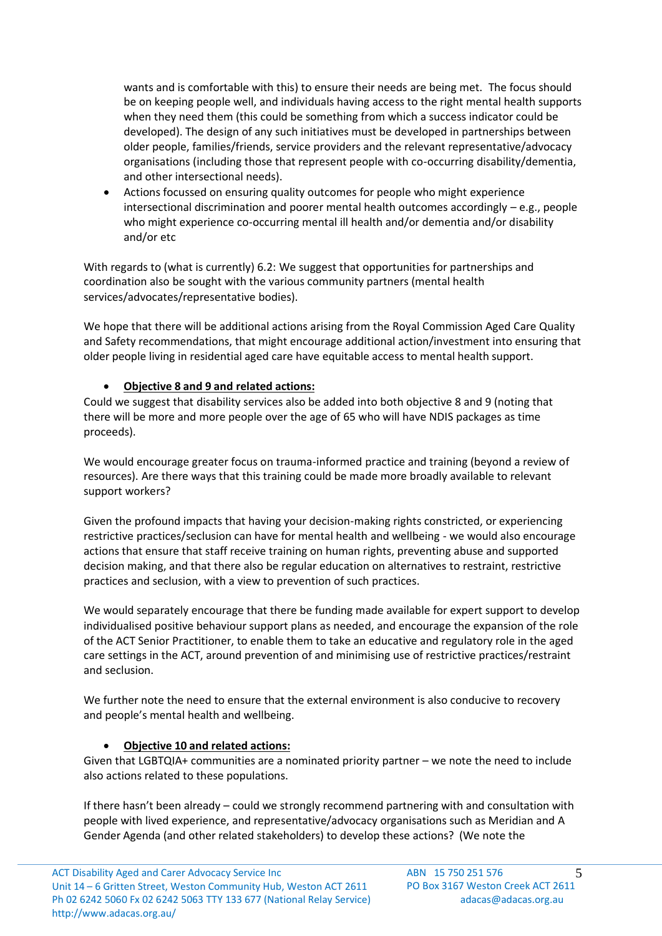wants and is comfortable with this) to ensure their needs are being met. The focus should be on keeping people well, and individuals having access to the right mental health supports when they need them (this could be something from which a success indicator could be developed). The design of any such initiatives must be developed in partnerships between older people, families/friends, service providers and the relevant representative/advocacy organisations (including those that represent people with co-occurring disability/dementia, and other intersectional needs).

• Actions focussed on ensuring quality outcomes for people who might experience intersectional discrimination and poorer mental health outcomes accordingly – e.g., people who might experience co-occurring mental ill health and/or dementia and/or disability and/or etc

With regards to (what is currently) 6.2: We suggest that opportunities for partnerships and coordination also be sought with the various community partners (mental health services/advocates/representative bodies).

We hope that there will be additional actions arising from the Royal Commission Aged Care Quality and Safety recommendations, that might encourage additional action/investment into ensuring that older people living in residential aged care have equitable access to mental health support.

#### • **Objective 8 and 9 and related actions:**

Could we suggest that disability services also be added into both objective 8 and 9 (noting that there will be more and more people over the age of 65 who will have NDIS packages as time proceeds).

We would encourage greater focus on trauma-informed practice and training (beyond a review of resources). Are there ways that this training could be made more broadly available to relevant support workers?

Given the profound impacts that having your decision-making rights constricted, or experiencing restrictive practices/seclusion can have for mental health and wellbeing - we would also encourage actions that ensure that staff receive training on human rights, preventing abuse and supported decision making, and that there also be regular education on alternatives to restraint, restrictive practices and seclusion, with a view to prevention of such practices.

We would separately encourage that there be funding made available for expert support to develop individualised positive behaviour support plans as needed, and encourage the expansion of the role of the ACT Senior Practitioner, to enable them to take an educative and regulatory role in the aged care settings in the ACT, around prevention of and minimising use of restrictive practices/restraint and seclusion.

We further note the need to ensure that the external environment is also conducive to recovery and people's mental health and wellbeing.

#### • **Objective 10 and related actions:**

Given that LGBTQIA+ communities are a nominated priority partner – we note the need to include also actions related to these populations.

If there hasn't been already – could we strongly recommend partnering with and consultation with people with lived experience, and representative/advocacy organisations such as Meridian and A Gender Agenda (and other related stakeholders) to develop these actions? (We note the